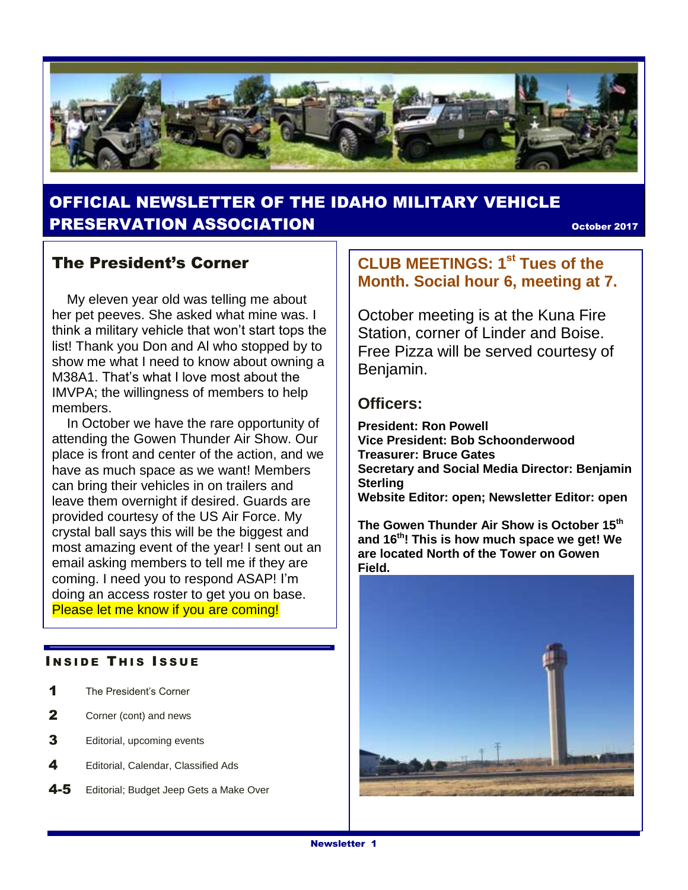

# OFFICIAL NEWSLETTER OF THE IDAHO MILITARY VEHICLE **PRESERVATION ASSOCIATION CONSUMING THE CONSUMING OCTOBER 2017**

### The President's Corner

 My eleven year old was telling me about her pet peeves. She asked what mine was. I think a military vehicle that won't start tops the list! Thank you Don and Al who stopped by to show me what I need to know about owning a M38A1. That's what I love most about the IMVPA; the willingness of members to help members.

 In October we have the rare opportunity of attending the Gowen Thunder Air Show. Our place is front and center of the action, and we have as much space as we want! Members can bring their vehicles in on trailers and leave them overnight if desired. Guards are provided courtesy of the US Air Force. My crystal ball says this will be the biggest and most amazing event of the year! I sent out an email asking members to tell me if they are coming. I need you to respond ASAP! I'm doing an access roster to get you on base. Please let me know if you are coming!

#### **INSIDE THIS ISSUE**

- 1 The President's Corner
- 2 Corner (cont) and news
- **3** Editorial, upcoming events
- 4 Editorial, Calendar, Classified Ads
- 4-5 Editorial; Budget Jeep Gets a Make Over

### **CLUB MEETINGS: 1st Tues of the Month. Social hour 6, meeting at 7.**

October meeting is at the Kuna Fire Station, corner of Linder and Boise. Free Pizza will be served courtesy of Benjamin.

### **Officers:**

**President: Ron Powell Vice President: Bob Schoonderwood Treasurer: Bruce Gates Secretary and Social Media Director: Benjamin Sterling Website Editor: open; Newsletter Editor: open**

**The Gowen Thunder Air Show is October 15th and 16 th! This is how much space we get! We are located North of the Tower on Gowen Field.**

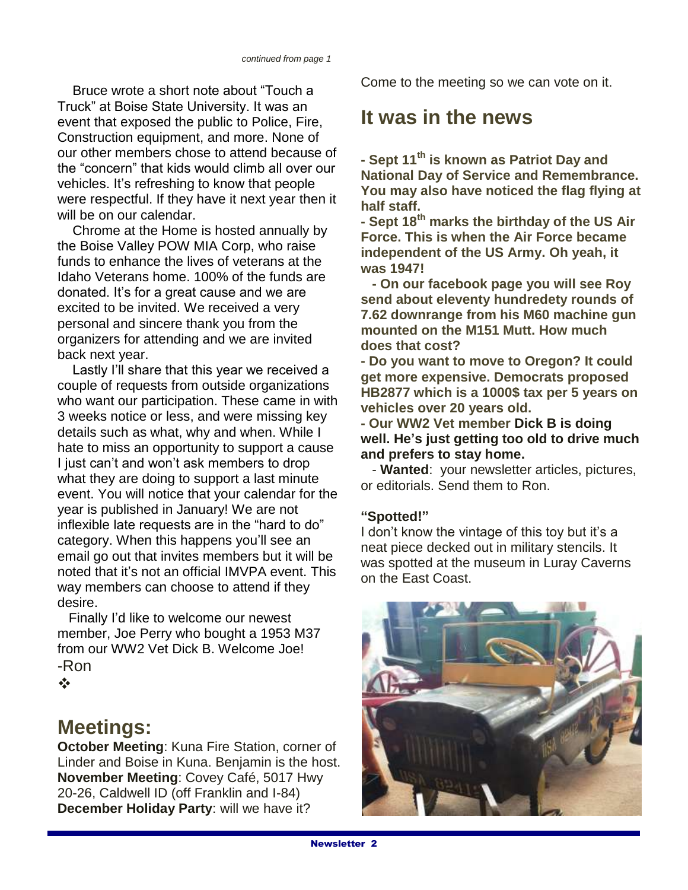Bruce wrote a short note about "Touch a Truck" at Boise State University. It was an event that exposed the public to Police, Fire, Construction equipment, and more. None of our other members chose to attend because of the "concern" that kids would climb all over our vehicles. It's refreshing to know that people were respectful. If they have it next year then it will be on our calendar.

 Chrome at the Home is hosted annually by the Boise Valley POW MIA Corp, who raise funds to enhance the lives of veterans at the Idaho Veterans home. 100% of the funds are donated. It's for a great cause and we are excited to be invited. We received a very personal and sincere thank you from the organizers for attending and we are invited back next year.

 Lastly I'll share that this year we received a couple of requests from outside organizations who want our participation. These came in with 3 weeks notice or less, and were missing key details such as what, why and when. While I hate to miss an opportunity to support a cause I just can't and won't ask members to drop what they are doing to support a last minute event. You will notice that your calendar for the year is published in January! We are not inflexible late requests are in the "hard to do" category. When this happens you'll see an email go out that invites members but it will be noted that it's not an official IMVPA event. This way members can choose to attend if they desire.

 Finally I'd like to welcome our newest member, Joe Perry who bought a 1953 M37 from our WW2 Vet Dick B. Welcome Joe! -Ron

 $\frac{1}{2}$ 

# **Meetings:**

**October Meeting**: Kuna Fire Station, corner of Linder and Boise in Kuna. Benjamin is the host. **November Meeting**: Covey Café, 5017 Hwy 20-26, Caldwell ID (off Franklin and I-84) **December Holiday Party**: will we have it?

Come to the meeting so we can vote on it.

# **It was in the news**

**- Sept 11th is known as Patriot Day and National Day of Service and Remembrance. You may also have noticed the flag flying at half staff.**

**- Sept 18th marks the birthday of the US Air Force. This is when the Air Force became independent of the US Army. Oh yeah, it was 1947!**

 **- On our facebook page you will see Roy send about eleventy hundredety rounds of 7.62 downrange from his M60 machine gun mounted on the M151 Mutt. How much does that cost?**

**- Do you want to move to Oregon? It could get more expensive. Democrats proposed HB2877 which is a 1000\$ tax per 5 years on vehicles over 20 years old.** 

**- Our WW2 Vet member Dick B is doing well. He's just getting too old to drive much and prefers to stay home.**

 - **Wanted**: your newsletter articles, pictures, or editorials. Send them to Ron.

#### **"Spotted!"**

I don't know the vintage of this toy but it's a neat piece decked out in military stencils. It was spotted at the museum in Luray Caverns on the East Coast.

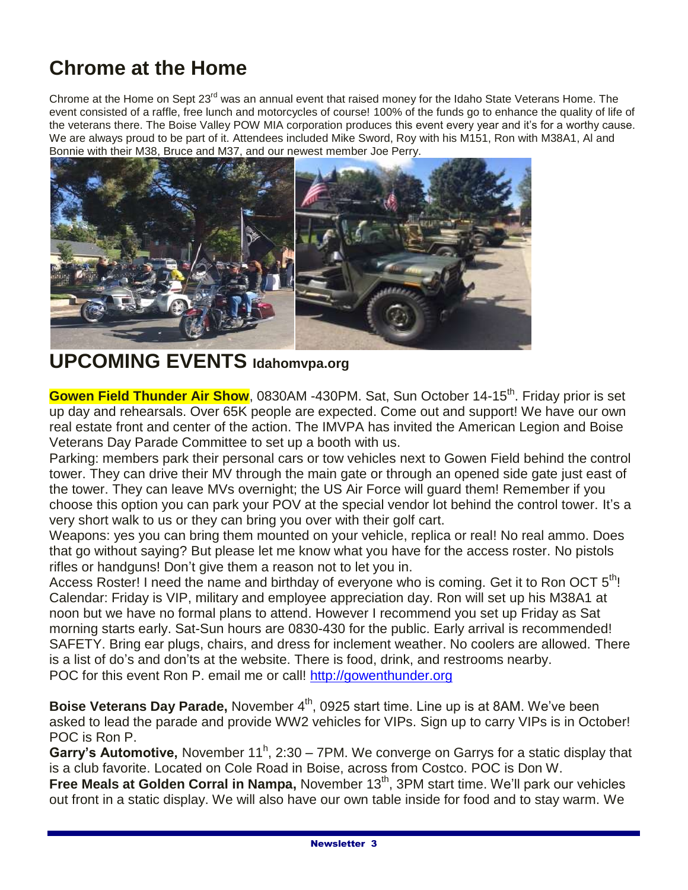# **Chrome at the Home**

Chrome at the Home on Sept 23<sup>rd</sup> was an annual event that raised money for the Idaho State Veterans Home. The event consisted of a raffle, free lunch and motorcycles of course! 100% of the funds go to enhance the quality of life of the veterans there. The Boise Valley POW MIA corporation produces this event every year and it's for a worthy cause. We are always proud to be part of it. Attendees included Mike Sword, Roy with his M151, Ron with M38A1, Al and Bonnie with their M38, Bruce and M37, and our newest member Joe Perry.



# **UPCOMING EVENTS Idahomvpa.org**

Gowen Field Thunder Air Show, 0830AM -430PM. Sat, Sun October 14-15<sup>th</sup>. Friday prior is set up day and rehearsals. Over 65K people are expected. Come out and support! We have our own real estate front and center of the action. The IMVPA has invited the American Legion and Boise Veterans Day Parade Committee to set up a booth with us.

Parking: members park their personal cars or tow vehicles next to Gowen Field behind the control tower. They can drive their MV through the main gate or through an opened side gate just east of the tower. They can leave MVs overnight; the US Air Force will guard them! Remember if you choose this option you can park your POV at the special vendor lot behind the control tower. It's a very short walk to us or they can bring you over with their golf cart.

Weapons: yes you can bring them mounted on your vehicle, replica or real! No real ammo. Does that go without saying? But please let me know what you have for the access roster. No pistols rifles or handguns! Don't give them a reason not to let you in.

Access Roster! I need the name and birthday of everyone who is coming. Get it to Ron OCT  $5<sup>th</sup>$ ! Calendar: Friday is VIP, military and employee appreciation day. Ron will set up his M38A1 at noon but we have no formal plans to attend. However I recommend you set up Friday as Sat morning starts early. Sat-Sun hours are 0830-430 for the public. Early arrival is recommended! SAFETY. Bring ear plugs, chairs, and dress for inclement weather. No coolers are allowed. There is a list of do's and don'ts at the website. There is food, drink, and restrooms nearby. POC for this event Ron P. email me or call! [http://gowenthunder.org](http://gowenthunder.org/)

**Boise Veterans Day Parade, November 4<sup>th</sup>, 0925 start time. Line up is at 8AM. We've been** asked to lead the parade and provide WW2 vehicles for VIPs. Sign up to carry VIPs is in October! POC is Ron P.

Garry's Automotive, November 11<sup>h</sup>, 2:30 – 7PM. We converge on Garrys for a static display that is a club favorite. Located on Cole Road in Boise, across from Costco. POC is Don W.

Free Meals at Golden Corral in Nampa, November 13<sup>th</sup>, 3PM start time. We'll park our vehicles out front in a static display. We will also have our own table inside for food and to stay warm. We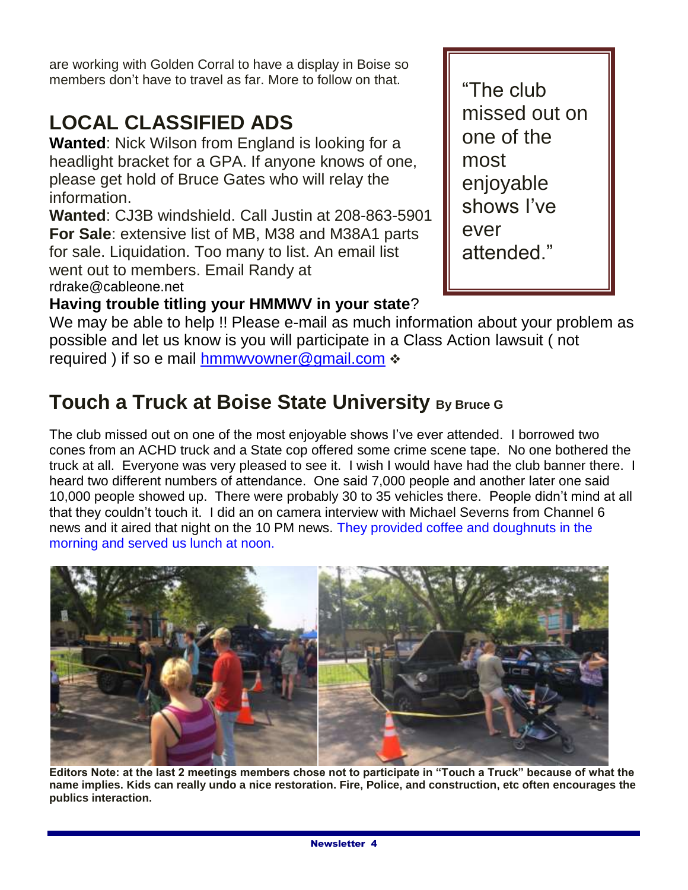are working with Golden Corral to have a display in Boise so members don't have to travel as far. More to follow on that.

# **LOCAL CLASSIFIED ADS**

**Wanted**: Nick Wilson from England is looking for a headlight bracket for a GPA. If anyone knows of one, please get hold of Bruce Gates who will relay the information.

**Wanted**: CJ3B windshield. Call Justin at 208-863-5901 **For Sale**: extensive list of MB, M38 and M38A1 parts for sale. Liquidation. Too many to list. An email list went out to members. Email Randy at rdrake@cableone.net

"The club missed out on one of the most enjoyable shows I've ever attended."

# **Having trouble titling your HMMWV in your state**?

We may be able to help !! Please e-mail as much information about your problem as possible and let us know is you will participate in a Class Action lawsuit ( not required ) if so e mail [hmmwvowner@gmail.com](mailto:hmmwvowner@gmail.com)  $\div$ 

# **Touch a Truck at Boise State University By Bruce G**

The club missed out on one of the most enjoyable shows I've ever attended. I borrowed two cones from an ACHD truck and a State cop offered some crime scene tape. No one bothered the truck at all. Everyone was very pleased to see it. I wish I would have had the club banner there. I heard two different numbers of attendance. One said 7,000 people and another later one said 10,000 people showed up. There were probably 30 to 35 vehicles there. People didn't mind at all that they couldn't touch it. I did an on camera interview with Michael Severns from Channel 6 news and it aired that night on the 10 PM news. They provided coffee and doughnuts in the morning and served us lunch at noon.



**Editors Note: at the last 2 meetings members chose not to participate in "Touch a Truck" because of what the name implies. Kids can really undo a nice restoration. Fire, Police, and construction, etc often encourages the publics interaction.**